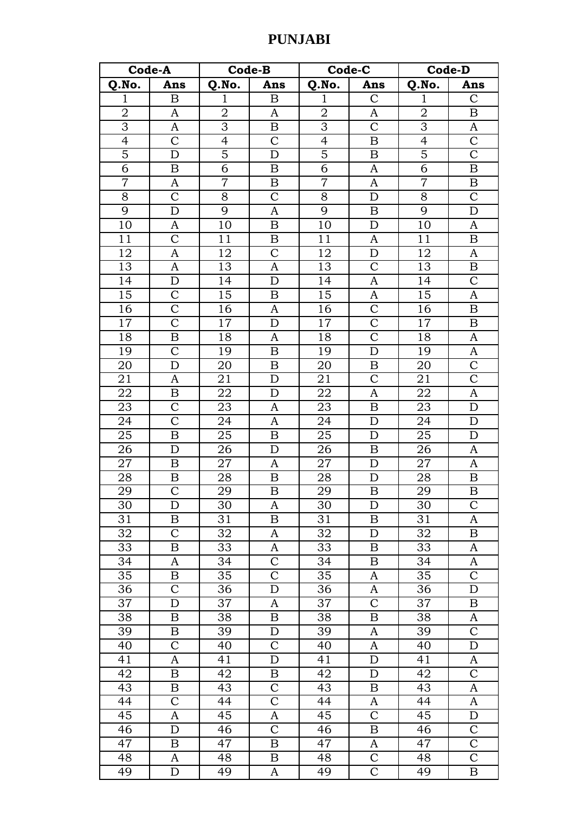| Q.No.<br>Q.No.<br>Q.No.<br>Q.No.<br>Ans<br>Ans<br>Ans<br>Ans<br>$\mathbf{1}$<br>$\boldsymbol{B}$<br>$\mathbf{1}$<br>$\mathbf{1}$<br>$\mathbf C$<br>$\mathbf 1$<br>$\mathsf{C}$<br>B<br>$\overline{2}$<br>$\overline{2}$<br>$\overline{2}$<br>$\mathbf 2$<br>$\boldsymbol{B}$<br>A<br>A<br>A<br>$\overline{3}$<br>$\overline{3}$<br>$\overline{3}$<br>$\overline{3}$<br>$\overline{C}$<br>A<br>B<br>A<br>$\overline{4}$<br>$\overline{4}$<br>$\mathcal{C}$<br>$\overline{4}$<br>$\overline{4}$<br>$\mathsf C$<br>$\mathcal{C}$<br>$\boldsymbol{B}$<br>$\overline{5}$<br>$\overline{5}$<br>$\overline{5}$<br>$\overline{5}$<br>$\overline{\text{C}}$<br>$\overline{B}$<br>D<br>D<br>$\overline{6}$<br>$\overline{6}$<br>$\overline{6}$<br>$\overline{6}$<br>A<br>$\boldsymbol{B}$<br>B<br>B<br>$\overline{7}$<br>$\overline{7}$<br>$\overline{7}$<br>$\overline{7}$<br>$\mathbf{A}$<br>$\boldsymbol{B}$<br>A<br>$\boldsymbol{B}$<br>$\overline{C}$<br>8<br>$\mathsf{C}$<br>8<br>$\mathcal{C}$<br>8<br>8<br>$\mathbf D$<br>9<br>9<br>9<br>9<br>D<br>D<br>A<br>B<br>10<br>10<br>$\overline{B}$<br>10<br>10<br>$\mathbf D$<br>$\mathbf{A}$<br>A<br>$\mathcal{C}$<br>11<br>11<br>11<br>11<br>B<br>$\boldsymbol{B}$<br>A<br>$\mathcal{C}$<br>12<br>12<br>12<br>$\mathbf D$<br>12<br>$\mathbf{A}$<br>A<br>13<br>13<br>13<br>$\mathcal{C}$<br>13<br>$\mathbf{A}$<br>$\mathbf{A}$<br>$\boldsymbol{B}$<br>$\mathcal{C}$<br>14<br>14<br>D<br>14<br>A<br>14<br>D<br>$\mathsf{C}$<br>15<br>15<br>15<br>A<br>15<br>A<br>B<br>$\mathcal{C}$<br>16<br>$\mathcal{C}$<br>16<br>16<br>16<br>A<br>B<br>$\overline{\mathrm{C}}$<br>$\overline{C}$<br>17<br>17<br>17<br>17<br>D<br>$\boldsymbol{B}$<br>$\overline{\text{C}}$<br>$\boldsymbol{B}$<br>18<br>18<br>18<br>18<br>A<br>A<br>19<br>$\mathcal{C}$<br>19<br>19<br>D<br>19<br>$\boldsymbol{A}$<br>$\boldsymbol{B}$<br>$\overline{C}$<br>20<br>D<br>20<br>B<br>20<br>20<br>B<br>$\overline{\mathrm{C}}$<br>$\mathcal{C}$<br>21<br>21<br>$\mathbf D$<br>21<br>21<br>A<br>$\overline{22}$<br>$\overline{22}$<br>$\overline{22}$<br>$\overline{22}$<br>$\mathbf{A}$<br>A<br>B<br>D<br>23<br>$\mathcal{C}$<br>23<br>23<br>23<br>$\boldsymbol{B}$<br>$\mathbf D$<br>A<br>$\overline{\text{C}}$<br>24<br>24<br>24<br>24<br>$\overline{A}$<br>D<br>D<br>25<br>$\overline{2}5$<br>25<br>25<br>B<br>B<br>D<br>D<br>26<br>26<br>26<br>26<br>$\mathbf D$<br>$\mathbf D$<br>$\boldsymbol{B}$<br>$\mathbf{A}$<br>27<br>27<br>27<br>27<br>B<br>$\mathbf D$<br>A<br>A<br>28<br>28<br>28<br>28<br>B<br>B<br>$\mathbf D$<br>B<br>29<br>$\overline{C}$<br>29<br>29<br>$\overline{\mathbf{B}}$<br>$\overline{\mathbf{B}}$<br>29<br>$\overline{B}$<br>$\mathcal{C}$<br>30<br>30<br>30<br>30<br>D<br>D<br>A<br>31<br>31<br>31<br>31<br>$\boldsymbol{B}$<br>B<br>B<br>A<br>$\overline{C}$<br>32<br>32<br>32<br>32<br>A<br>D<br>B<br>33<br>33<br>33<br>B<br>33<br>A<br>B<br>A<br>$\mathbf C$<br>34<br>34<br>34<br>34<br>A<br>A<br>B<br>$\mathcal{C}$<br>$\mathsf C$<br>35<br>35<br>35<br>35<br>B<br>A<br>$\overline{C}$<br>36<br>36<br>36<br>D<br>$\mathbf{A}$<br>36<br>D<br>37<br>$\mathcal{C}$<br>37<br>37<br>D<br>37<br>A<br>B<br>38<br>38<br>38<br>38<br>A<br>B<br>B<br>B<br>$\mathbf C$<br>39<br>39<br>39<br>39<br>B<br>D<br>A<br>$\mathsf{C}$<br>$\mathcal{C}$<br>40<br>40<br>40<br>40<br>D<br>A<br>41<br>41<br>41<br>A<br>D<br>D<br>41<br>A<br>42<br>42<br>42<br>42<br>$\mathcal{C}$<br>B<br>D<br>B<br>$\mathbf C$<br>43<br>$\, {\bf B}$<br>43<br>43<br>43<br>$\boldsymbol{B}$<br>A<br>$\mathcal{C}$<br>44<br>$\mathsf{C}$<br>44<br>44<br>44<br>A<br>A<br>$\overline{C}$<br>45<br>45<br>45<br>$\mathbf D$<br>$\mathbf{A}$<br>$\mathbf{A}$<br>45<br>$\mathbf C$<br>$\mathcal{C}$<br>46<br>46<br>46<br>$\boldsymbol{B}$<br>D<br>46<br>$\mathsf C$<br>47<br>47<br>B<br>47<br>47<br>B<br>A<br>$\overline{C}$<br>$\overline{C}$<br>$\overline{4}8$<br>48<br>48<br>48<br>A<br>B | Code-A |   | <b>Code-B</b> |   | Code-C |              | Code-D |   |  |
|-----------------------------------------------------------------------------------------------------------------------------------------------------------------------------------------------------------------------------------------------------------------------------------------------------------------------------------------------------------------------------------------------------------------------------------------------------------------------------------------------------------------------------------------------------------------------------------------------------------------------------------------------------------------------------------------------------------------------------------------------------------------------------------------------------------------------------------------------------------------------------------------------------------------------------------------------------------------------------------------------------------------------------------------------------------------------------------------------------------------------------------------------------------------------------------------------------------------------------------------------------------------------------------------------------------------------------------------------------------------------------------------------------------------------------------------------------------------------------------------------------------------------------------------------------------------------------------------------------------------------------------------------------------------------------------------------------------------------------------------------------------------------------------------------------------------------------------------------------------------------------------------------------------------------------------------------------------------------------------------------------------------------------------------------------------------------------------------------------------------------------------------------------------------------------------------------------------------------------------------------------------------------------------------------------------------------------------------------------------------------------------------------------------------------------------------------------------------------------------------------------------------------------------------------------------------------------------------------------------------------------------------------------------------------------------------------------------------------------------------------------------------------------------------------------------------------------------------------------------------------------------------------------------------------------------------------------------------------------------------------------------------------------------------------------------------------------------------------------------------------------------------------------------------------------------------------------------------------------------------------------------------------------------------------------------------------------------------------------------------------------------------------------------------------------------------------------------------------------------------------------------------------------------------------------------------------------------------------------------------------------------------------------------------------------------------------------------------------------------------------------------------------------------------------------------------------------------------------------------------------------------------|--------|---|---------------|---|--------|--------------|--------|---|--|
|                                                                                                                                                                                                                                                                                                                                                                                                                                                                                                                                                                                                                                                                                                                                                                                                                                                                                                                                                                                                                                                                                                                                                                                                                                                                                                                                                                                                                                                                                                                                                                                                                                                                                                                                                                                                                                                                                                                                                                                                                                                                                                                                                                                                                                                                                                                                                                                                                                                                                                                                                                                                                                                                                                                                                                                                                                                                                                                                                                                                                                                                                                                                                                                                                                                                                                                                                                                                                                                                                                                                                                                                                                                                                                                                                                                                                                                                                         |        |   |               |   |        |              |        |   |  |
|                                                                                                                                                                                                                                                                                                                                                                                                                                                                                                                                                                                                                                                                                                                                                                                                                                                                                                                                                                                                                                                                                                                                                                                                                                                                                                                                                                                                                                                                                                                                                                                                                                                                                                                                                                                                                                                                                                                                                                                                                                                                                                                                                                                                                                                                                                                                                                                                                                                                                                                                                                                                                                                                                                                                                                                                                                                                                                                                                                                                                                                                                                                                                                                                                                                                                                                                                                                                                                                                                                                                                                                                                                                                                                                                                                                                                                                                                         |        |   |               |   |        |              |        |   |  |
|                                                                                                                                                                                                                                                                                                                                                                                                                                                                                                                                                                                                                                                                                                                                                                                                                                                                                                                                                                                                                                                                                                                                                                                                                                                                                                                                                                                                                                                                                                                                                                                                                                                                                                                                                                                                                                                                                                                                                                                                                                                                                                                                                                                                                                                                                                                                                                                                                                                                                                                                                                                                                                                                                                                                                                                                                                                                                                                                                                                                                                                                                                                                                                                                                                                                                                                                                                                                                                                                                                                                                                                                                                                                                                                                                                                                                                                                                         |        |   |               |   |        |              |        |   |  |
|                                                                                                                                                                                                                                                                                                                                                                                                                                                                                                                                                                                                                                                                                                                                                                                                                                                                                                                                                                                                                                                                                                                                                                                                                                                                                                                                                                                                                                                                                                                                                                                                                                                                                                                                                                                                                                                                                                                                                                                                                                                                                                                                                                                                                                                                                                                                                                                                                                                                                                                                                                                                                                                                                                                                                                                                                                                                                                                                                                                                                                                                                                                                                                                                                                                                                                                                                                                                                                                                                                                                                                                                                                                                                                                                                                                                                                                                                         |        |   |               |   |        |              |        |   |  |
|                                                                                                                                                                                                                                                                                                                                                                                                                                                                                                                                                                                                                                                                                                                                                                                                                                                                                                                                                                                                                                                                                                                                                                                                                                                                                                                                                                                                                                                                                                                                                                                                                                                                                                                                                                                                                                                                                                                                                                                                                                                                                                                                                                                                                                                                                                                                                                                                                                                                                                                                                                                                                                                                                                                                                                                                                                                                                                                                                                                                                                                                                                                                                                                                                                                                                                                                                                                                                                                                                                                                                                                                                                                                                                                                                                                                                                                                                         |        |   |               |   |        |              |        |   |  |
|                                                                                                                                                                                                                                                                                                                                                                                                                                                                                                                                                                                                                                                                                                                                                                                                                                                                                                                                                                                                                                                                                                                                                                                                                                                                                                                                                                                                                                                                                                                                                                                                                                                                                                                                                                                                                                                                                                                                                                                                                                                                                                                                                                                                                                                                                                                                                                                                                                                                                                                                                                                                                                                                                                                                                                                                                                                                                                                                                                                                                                                                                                                                                                                                                                                                                                                                                                                                                                                                                                                                                                                                                                                                                                                                                                                                                                                                                         |        |   |               |   |        |              |        |   |  |
|                                                                                                                                                                                                                                                                                                                                                                                                                                                                                                                                                                                                                                                                                                                                                                                                                                                                                                                                                                                                                                                                                                                                                                                                                                                                                                                                                                                                                                                                                                                                                                                                                                                                                                                                                                                                                                                                                                                                                                                                                                                                                                                                                                                                                                                                                                                                                                                                                                                                                                                                                                                                                                                                                                                                                                                                                                                                                                                                                                                                                                                                                                                                                                                                                                                                                                                                                                                                                                                                                                                                                                                                                                                                                                                                                                                                                                                                                         |        |   |               |   |        |              |        |   |  |
|                                                                                                                                                                                                                                                                                                                                                                                                                                                                                                                                                                                                                                                                                                                                                                                                                                                                                                                                                                                                                                                                                                                                                                                                                                                                                                                                                                                                                                                                                                                                                                                                                                                                                                                                                                                                                                                                                                                                                                                                                                                                                                                                                                                                                                                                                                                                                                                                                                                                                                                                                                                                                                                                                                                                                                                                                                                                                                                                                                                                                                                                                                                                                                                                                                                                                                                                                                                                                                                                                                                                                                                                                                                                                                                                                                                                                                                                                         |        |   |               |   |        |              |        |   |  |
|                                                                                                                                                                                                                                                                                                                                                                                                                                                                                                                                                                                                                                                                                                                                                                                                                                                                                                                                                                                                                                                                                                                                                                                                                                                                                                                                                                                                                                                                                                                                                                                                                                                                                                                                                                                                                                                                                                                                                                                                                                                                                                                                                                                                                                                                                                                                                                                                                                                                                                                                                                                                                                                                                                                                                                                                                                                                                                                                                                                                                                                                                                                                                                                                                                                                                                                                                                                                                                                                                                                                                                                                                                                                                                                                                                                                                                                                                         |        |   |               |   |        |              |        |   |  |
|                                                                                                                                                                                                                                                                                                                                                                                                                                                                                                                                                                                                                                                                                                                                                                                                                                                                                                                                                                                                                                                                                                                                                                                                                                                                                                                                                                                                                                                                                                                                                                                                                                                                                                                                                                                                                                                                                                                                                                                                                                                                                                                                                                                                                                                                                                                                                                                                                                                                                                                                                                                                                                                                                                                                                                                                                                                                                                                                                                                                                                                                                                                                                                                                                                                                                                                                                                                                                                                                                                                                                                                                                                                                                                                                                                                                                                                                                         |        |   |               |   |        |              |        |   |  |
|                                                                                                                                                                                                                                                                                                                                                                                                                                                                                                                                                                                                                                                                                                                                                                                                                                                                                                                                                                                                                                                                                                                                                                                                                                                                                                                                                                                                                                                                                                                                                                                                                                                                                                                                                                                                                                                                                                                                                                                                                                                                                                                                                                                                                                                                                                                                                                                                                                                                                                                                                                                                                                                                                                                                                                                                                                                                                                                                                                                                                                                                                                                                                                                                                                                                                                                                                                                                                                                                                                                                                                                                                                                                                                                                                                                                                                                                                         |        |   |               |   |        |              |        |   |  |
|                                                                                                                                                                                                                                                                                                                                                                                                                                                                                                                                                                                                                                                                                                                                                                                                                                                                                                                                                                                                                                                                                                                                                                                                                                                                                                                                                                                                                                                                                                                                                                                                                                                                                                                                                                                                                                                                                                                                                                                                                                                                                                                                                                                                                                                                                                                                                                                                                                                                                                                                                                                                                                                                                                                                                                                                                                                                                                                                                                                                                                                                                                                                                                                                                                                                                                                                                                                                                                                                                                                                                                                                                                                                                                                                                                                                                                                                                         |        |   |               |   |        |              |        |   |  |
|                                                                                                                                                                                                                                                                                                                                                                                                                                                                                                                                                                                                                                                                                                                                                                                                                                                                                                                                                                                                                                                                                                                                                                                                                                                                                                                                                                                                                                                                                                                                                                                                                                                                                                                                                                                                                                                                                                                                                                                                                                                                                                                                                                                                                                                                                                                                                                                                                                                                                                                                                                                                                                                                                                                                                                                                                                                                                                                                                                                                                                                                                                                                                                                                                                                                                                                                                                                                                                                                                                                                                                                                                                                                                                                                                                                                                                                                                         |        |   |               |   |        |              |        |   |  |
|                                                                                                                                                                                                                                                                                                                                                                                                                                                                                                                                                                                                                                                                                                                                                                                                                                                                                                                                                                                                                                                                                                                                                                                                                                                                                                                                                                                                                                                                                                                                                                                                                                                                                                                                                                                                                                                                                                                                                                                                                                                                                                                                                                                                                                                                                                                                                                                                                                                                                                                                                                                                                                                                                                                                                                                                                                                                                                                                                                                                                                                                                                                                                                                                                                                                                                                                                                                                                                                                                                                                                                                                                                                                                                                                                                                                                                                                                         |        |   |               |   |        |              |        |   |  |
|                                                                                                                                                                                                                                                                                                                                                                                                                                                                                                                                                                                                                                                                                                                                                                                                                                                                                                                                                                                                                                                                                                                                                                                                                                                                                                                                                                                                                                                                                                                                                                                                                                                                                                                                                                                                                                                                                                                                                                                                                                                                                                                                                                                                                                                                                                                                                                                                                                                                                                                                                                                                                                                                                                                                                                                                                                                                                                                                                                                                                                                                                                                                                                                                                                                                                                                                                                                                                                                                                                                                                                                                                                                                                                                                                                                                                                                                                         |        |   |               |   |        |              |        |   |  |
|                                                                                                                                                                                                                                                                                                                                                                                                                                                                                                                                                                                                                                                                                                                                                                                                                                                                                                                                                                                                                                                                                                                                                                                                                                                                                                                                                                                                                                                                                                                                                                                                                                                                                                                                                                                                                                                                                                                                                                                                                                                                                                                                                                                                                                                                                                                                                                                                                                                                                                                                                                                                                                                                                                                                                                                                                                                                                                                                                                                                                                                                                                                                                                                                                                                                                                                                                                                                                                                                                                                                                                                                                                                                                                                                                                                                                                                                                         |        |   |               |   |        |              |        |   |  |
|                                                                                                                                                                                                                                                                                                                                                                                                                                                                                                                                                                                                                                                                                                                                                                                                                                                                                                                                                                                                                                                                                                                                                                                                                                                                                                                                                                                                                                                                                                                                                                                                                                                                                                                                                                                                                                                                                                                                                                                                                                                                                                                                                                                                                                                                                                                                                                                                                                                                                                                                                                                                                                                                                                                                                                                                                                                                                                                                                                                                                                                                                                                                                                                                                                                                                                                                                                                                                                                                                                                                                                                                                                                                                                                                                                                                                                                                                         |        |   |               |   |        |              |        |   |  |
|                                                                                                                                                                                                                                                                                                                                                                                                                                                                                                                                                                                                                                                                                                                                                                                                                                                                                                                                                                                                                                                                                                                                                                                                                                                                                                                                                                                                                                                                                                                                                                                                                                                                                                                                                                                                                                                                                                                                                                                                                                                                                                                                                                                                                                                                                                                                                                                                                                                                                                                                                                                                                                                                                                                                                                                                                                                                                                                                                                                                                                                                                                                                                                                                                                                                                                                                                                                                                                                                                                                                                                                                                                                                                                                                                                                                                                                                                         |        |   |               |   |        |              |        |   |  |
|                                                                                                                                                                                                                                                                                                                                                                                                                                                                                                                                                                                                                                                                                                                                                                                                                                                                                                                                                                                                                                                                                                                                                                                                                                                                                                                                                                                                                                                                                                                                                                                                                                                                                                                                                                                                                                                                                                                                                                                                                                                                                                                                                                                                                                                                                                                                                                                                                                                                                                                                                                                                                                                                                                                                                                                                                                                                                                                                                                                                                                                                                                                                                                                                                                                                                                                                                                                                                                                                                                                                                                                                                                                                                                                                                                                                                                                                                         |        |   |               |   |        |              |        |   |  |
|                                                                                                                                                                                                                                                                                                                                                                                                                                                                                                                                                                                                                                                                                                                                                                                                                                                                                                                                                                                                                                                                                                                                                                                                                                                                                                                                                                                                                                                                                                                                                                                                                                                                                                                                                                                                                                                                                                                                                                                                                                                                                                                                                                                                                                                                                                                                                                                                                                                                                                                                                                                                                                                                                                                                                                                                                                                                                                                                                                                                                                                                                                                                                                                                                                                                                                                                                                                                                                                                                                                                                                                                                                                                                                                                                                                                                                                                                         |        |   |               |   |        |              |        |   |  |
|                                                                                                                                                                                                                                                                                                                                                                                                                                                                                                                                                                                                                                                                                                                                                                                                                                                                                                                                                                                                                                                                                                                                                                                                                                                                                                                                                                                                                                                                                                                                                                                                                                                                                                                                                                                                                                                                                                                                                                                                                                                                                                                                                                                                                                                                                                                                                                                                                                                                                                                                                                                                                                                                                                                                                                                                                                                                                                                                                                                                                                                                                                                                                                                                                                                                                                                                                                                                                                                                                                                                                                                                                                                                                                                                                                                                                                                                                         |        |   |               |   |        |              |        |   |  |
|                                                                                                                                                                                                                                                                                                                                                                                                                                                                                                                                                                                                                                                                                                                                                                                                                                                                                                                                                                                                                                                                                                                                                                                                                                                                                                                                                                                                                                                                                                                                                                                                                                                                                                                                                                                                                                                                                                                                                                                                                                                                                                                                                                                                                                                                                                                                                                                                                                                                                                                                                                                                                                                                                                                                                                                                                                                                                                                                                                                                                                                                                                                                                                                                                                                                                                                                                                                                                                                                                                                                                                                                                                                                                                                                                                                                                                                                                         |        |   |               |   |        |              |        |   |  |
|                                                                                                                                                                                                                                                                                                                                                                                                                                                                                                                                                                                                                                                                                                                                                                                                                                                                                                                                                                                                                                                                                                                                                                                                                                                                                                                                                                                                                                                                                                                                                                                                                                                                                                                                                                                                                                                                                                                                                                                                                                                                                                                                                                                                                                                                                                                                                                                                                                                                                                                                                                                                                                                                                                                                                                                                                                                                                                                                                                                                                                                                                                                                                                                                                                                                                                                                                                                                                                                                                                                                                                                                                                                                                                                                                                                                                                                                                         |        |   |               |   |        |              |        |   |  |
|                                                                                                                                                                                                                                                                                                                                                                                                                                                                                                                                                                                                                                                                                                                                                                                                                                                                                                                                                                                                                                                                                                                                                                                                                                                                                                                                                                                                                                                                                                                                                                                                                                                                                                                                                                                                                                                                                                                                                                                                                                                                                                                                                                                                                                                                                                                                                                                                                                                                                                                                                                                                                                                                                                                                                                                                                                                                                                                                                                                                                                                                                                                                                                                                                                                                                                                                                                                                                                                                                                                                                                                                                                                                                                                                                                                                                                                                                         |        |   |               |   |        |              |        |   |  |
|                                                                                                                                                                                                                                                                                                                                                                                                                                                                                                                                                                                                                                                                                                                                                                                                                                                                                                                                                                                                                                                                                                                                                                                                                                                                                                                                                                                                                                                                                                                                                                                                                                                                                                                                                                                                                                                                                                                                                                                                                                                                                                                                                                                                                                                                                                                                                                                                                                                                                                                                                                                                                                                                                                                                                                                                                                                                                                                                                                                                                                                                                                                                                                                                                                                                                                                                                                                                                                                                                                                                                                                                                                                                                                                                                                                                                                                                                         |        |   |               |   |        |              |        |   |  |
|                                                                                                                                                                                                                                                                                                                                                                                                                                                                                                                                                                                                                                                                                                                                                                                                                                                                                                                                                                                                                                                                                                                                                                                                                                                                                                                                                                                                                                                                                                                                                                                                                                                                                                                                                                                                                                                                                                                                                                                                                                                                                                                                                                                                                                                                                                                                                                                                                                                                                                                                                                                                                                                                                                                                                                                                                                                                                                                                                                                                                                                                                                                                                                                                                                                                                                                                                                                                                                                                                                                                                                                                                                                                                                                                                                                                                                                                                         |        |   |               |   |        |              |        |   |  |
|                                                                                                                                                                                                                                                                                                                                                                                                                                                                                                                                                                                                                                                                                                                                                                                                                                                                                                                                                                                                                                                                                                                                                                                                                                                                                                                                                                                                                                                                                                                                                                                                                                                                                                                                                                                                                                                                                                                                                                                                                                                                                                                                                                                                                                                                                                                                                                                                                                                                                                                                                                                                                                                                                                                                                                                                                                                                                                                                                                                                                                                                                                                                                                                                                                                                                                                                                                                                                                                                                                                                                                                                                                                                                                                                                                                                                                                                                         |        |   |               |   |        |              |        |   |  |
|                                                                                                                                                                                                                                                                                                                                                                                                                                                                                                                                                                                                                                                                                                                                                                                                                                                                                                                                                                                                                                                                                                                                                                                                                                                                                                                                                                                                                                                                                                                                                                                                                                                                                                                                                                                                                                                                                                                                                                                                                                                                                                                                                                                                                                                                                                                                                                                                                                                                                                                                                                                                                                                                                                                                                                                                                                                                                                                                                                                                                                                                                                                                                                                                                                                                                                                                                                                                                                                                                                                                                                                                                                                                                                                                                                                                                                                                                         |        |   |               |   |        |              |        |   |  |
|                                                                                                                                                                                                                                                                                                                                                                                                                                                                                                                                                                                                                                                                                                                                                                                                                                                                                                                                                                                                                                                                                                                                                                                                                                                                                                                                                                                                                                                                                                                                                                                                                                                                                                                                                                                                                                                                                                                                                                                                                                                                                                                                                                                                                                                                                                                                                                                                                                                                                                                                                                                                                                                                                                                                                                                                                                                                                                                                                                                                                                                                                                                                                                                                                                                                                                                                                                                                                                                                                                                                                                                                                                                                                                                                                                                                                                                                                         |        |   |               |   |        |              |        |   |  |
|                                                                                                                                                                                                                                                                                                                                                                                                                                                                                                                                                                                                                                                                                                                                                                                                                                                                                                                                                                                                                                                                                                                                                                                                                                                                                                                                                                                                                                                                                                                                                                                                                                                                                                                                                                                                                                                                                                                                                                                                                                                                                                                                                                                                                                                                                                                                                                                                                                                                                                                                                                                                                                                                                                                                                                                                                                                                                                                                                                                                                                                                                                                                                                                                                                                                                                                                                                                                                                                                                                                                                                                                                                                                                                                                                                                                                                                                                         |        |   |               |   |        |              |        |   |  |
|                                                                                                                                                                                                                                                                                                                                                                                                                                                                                                                                                                                                                                                                                                                                                                                                                                                                                                                                                                                                                                                                                                                                                                                                                                                                                                                                                                                                                                                                                                                                                                                                                                                                                                                                                                                                                                                                                                                                                                                                                                                                                                                                                                                                                                                                                                                                                                                                                                                                                                                                                                                                                                                                                                                                                                                                                                                                                                                                                                                                                                                                                                                                                                                                                                                                                                                                                                                                                                                                                                                                                                                                                                                                                                                                                                                                                                                                                         |        |   |               |   |        |              |        |   |  |
|                                                                                                                                                                                                                                                                                                                                                                                                                                                                                                                                                                                                                                                                                                                                                                                                                                                                                                                                                                                                                                                                                                                                                                                                                                                                                                                                                                                                                                                                                                                                                                                                                                                                                                                                                                                                                                                                                                                                                                                                                                                                                                                                                                                                                                                                                                                                                                                                                                                                                                                                                                                                                                                                                                                                                                                                                                                                                                                                                                                                                                                                                                                                                                                                                                                                                                                                                                                                                                                                                                                                                                                                                                                                                                                                                                                                                                                                                         |        |   |               |   |        |              |        |   |  |
|                                                                                                                                                                                                                                                                                                                                                                                                                                                                                                                                                                                                                                                                                                                                                                                                                                                                                                                                                                                                                                                                                                                                                                                                                                                                                                                                                                                                                                                                                                                                                                                                                                                                                                                                                                                                                                                                                                                                                                                                                                                                                                                                                                                                                                                                                                                                                                                                                                                                                                                                                                                                                                                                                                                                                                                                                                                                                                                                                                                                                                                                                                                                                                                                                                                                                                                                                                                                                                                                                                                                                                                                                                                                                                                                                                                                                                                                                         |        |   |               |   |        |              |        |   |  |
|                                                                                                                                                                                                                                                                                                                                                                                                                                                                                                                                                                                                                                                                                                                                                                                                                                                                                                                                                                                                                                                                                                                                                                                                                                                                                                                                                                                                                                                                                                                                                                                                                                                                                                                                                                                                                                                                                                                                                                                                                                                                                                                                                                                                                                                                                                                                                                                                                                                                                                                                                                                                                                                                                                                                                                                                                                                                                                                                                                                                                                                                                                                                                                                                                                                                                                                                                                                                                                                                                                                                                                                                                                                                                                                                                                                                                                                                                         |        |   |               |   |        |              |        |   |  |
|                                                                                                                                                                                                                                                                                                                                                                                                                                                                                                                                                                                                                                                                                                                                                                                                                                                                                                                                                                                                                                                                                                                                                                                                                                                                                                                                                                                                                                                                                                                                                                                                                                                                                                                                                                                                                                                                                                                                                                                                                                                                                                                                                                                                                                                                                                                                                                                                                                                                                                                                                                                                                                                                                                                                                                                                                                                                                                                                                                                                                                                                                                                                                                                                                                                                                                                                                                                                                                                                                                                                                                                                                                                                                                                                                                                                                                                                                         |        |   |               |   |        |              |        |   |  |
|                                                                                                                                                                                                                                                                                                                                                                                                                                                                                                                                                                                                                                                                                                                                                                                                                                                                                                                                                                                                                                                                                                                                                                                                                                                                                                                                                                                                                                                                                                                                                                                                                                                                                                                                                                                                                                                                                                                                                                                                                                                                                                                                                                                                                                                                                                                                                                                                                                                                                                                                                                                                                                                                                                                                                                                                                                                                                                                                                                                                                                                                                                                                                                                                                                                                                                                                                                                                                                                                                                                                                                                                                                                                                                                                                                                                                                                                                         |        |   |               |   |        |              |        |   |  |
|                                                                                                                                                                                                                                                                                                                                                                                                                                                                                                                                                                                                                                                                                                                                                                                                                                                                                                                                                                                                                                                                                                                                                                                                                                                                                                                                                                                                                                                                                                                                                                                                                                                                                                                                                                                                                                                                                                                                                                                                                                                                                                                                                                                                                                                                                                                                                                                                                                                                                                                                                                                                                                                                                                                                                                                                                                                                                                                                                                                                                                                                                                                                                                                                                                                                                                                                                                                                                                                                                                                                                                                                                                                                                                                                                                                                                                                                                         |        |   |               |   |        |              |        |   |  |
|                                                                                                                                                                                                                                                                                                                                                                                                                                                                                                                                                                                                                                                                                                                                                                                                                                                                                                                                                                                                                                                                                                                                                                                                                                                                                                                                                                                                                                                                                                                                                                                                                                                                                                                                                                                                                                                                                                                                                                                                                                                                                                                                                                                                                                                                                                                                                                                                                                                                                                                                                                                                                                                                                                                                                                                                                                                                                                                                                                                                                                                                                                                                                                                                                                                                                                                                                                                                                                                                                                                                                                                                                                                                                                                                                                                                                                                                                         |        |   |               |   |        |              |        |   |  |
|                                                                                                                                                                                                                                                                                                                                                                                                                                                                                                                                                                                                                                                                                                                                                                                                                                                                                                                                                                                                                                                                                                                                                                                                                                                                                                                                                                                                                                                                                                                                                                                                                                                                                                                                                                                                                                                                                                                                                                                                                                                                                                                                                                                                                                                                                                                                                                                                                                                                                                                                                                                                                                                                                                                                                                                                                                                                                                                                                                                                                                                                                                                                                                                                                                                                                                                                                                                                                                                                                                                                                                                                                                                                                                                                                                                                                                                                                         |        |   |               |   |        |              |        |   |  |
|                                                                                                                                                                                                                                                                                                                                                                                                                                                                                                                                                                                                                                                                                                                                                                                                                                                                                                                                                                                                                                                                                                                                                                                                                                                                                                                                                                                                                                                                                                                                                                                                                                                                                                                                                                                                                                                                                                                                                                                                                                                                                                                                                                                                                                                                                                                                                                                                                                                                                                                                                                                                                                                                                                                                                                                                                                                                                                                                                                                                                                                                                                                                                                                                                                                                                                                                                                                                                                                                                                                                                                                                                                                                                                                                                                                                                                                                                         |        |   |               |   |        |              |        |   |  |
|                                                                                                                                                                                                                                                                                                                                                                                                                                                                                                                                                                                                                                                                                                                                                                                                                                                                                                                                                                                                                                                                                                                                                                                                                                                                                                                                                                                                                                                                                                                                                                                                                                                                                                                                                                                                                                                                                                                                                                                                                                                                                                                                                                                                                                                                                                                                                                                                                                                                                                                                                                                                                                                                                                                                                                                                                                                                                                                                                                                                                                                                                                                                                                                                                                                                                                                                                                                                                                                                                                                                                                                                                                                                                                                                                                                                                                                                                         |        |   |               |   |        |              |        |   |  |
|                                                                                                                                                                                                                                                                                                                                                                                                                                                                                                                                                                                                                                                                                                                                                                                                                                                                                                                                                                                                                                                                                                                                                                                                                                                                                                                                                                                                                                                                                                                                                                                                                                                                                                                                                                                                                                                                                                                                                                                                                                                                                                                                                                                                                                                                                                                                                                                                                                                                                                                                                                                                                                                                                                                                                                                                                                                                                                                                                                                                                                                                                                                                                                                                                                                                                                                                                                                                                                                                                                                                                                                                                                                                                                                                                                                                                                                                                         |        |   |               |   |        |              |        |   |  |
|                                                                                                                                                                                                                                                                                                                                                                                                                                                                                                                                                                                                                                                                                                                                                                                                                                                                                                                                                                                                                                                                                                                                                                                                                                                                                                                                                                                                                                                                                                                                                                                                                                                                                                                                                                                                                                                                                                                                                                                                                                                                                                                                                                                                                                                                                                                                                                                                                                                                                                                                                                                                                                                                                                                                                                                                                                                                                                                                                                                                                                                                                                                                                                                                                                                                                                                                                                                                                                                                                                                                                                                                                                                                                                                                                                                                                                                                                         |        |   |               |   |        |              |        |   |  |
|                                                                                                                                                                                                                                                                                                                                                                                                                                                                                                                                                                                                                                                                                                                                                                                                                                                                                                                                                                                                                                                                                                                                                                                                                                                                                                                                                                                                                                                                                                                                                                                                                                                                                                                                                                                                                                                                                                                                                                                                                                                                                                                                                                                                                                                                                                                                                                                                                                                                                                                                                                                                                                                                                                                                                                                                                                                                                                                                                                                                                                                                                                                                                                                                                                                                                                                                                                                                                                                                                                                                                                                                                                                                                                                                                                                                                                                                                         |        |   |               |   |        |              |        |   |  |
|                                                                                                                                                                                                                                                                                                                                                                                                                                                                                                                                                                                                                                                                                                                                                                                                                                                                                                                                                                                                                                                                                                                                                                                                                                                                                                                                                                                                                                                                                                                                                                                                                                                                                                                                                                                                                                                                                                                                                                                                                                                                                                                                                                                                                                                                                                                                                                                                                                                                                                                                                                                                                                                                                                                                                                                                                                                                                                                                                                                                                                                                                                                                                                                                                                                                                                                                                                                                                                                                                                                                                                                                                                                                                                                                                                                                                                                                                         |        |   |               |   |        |              |        |   |  |
|                                                                                                                                                                                                                                                                                                                                                                                                                                                                                                                                                                                                                                                                                                                                                                                                                                                                                                                                                                                                                                                                                                                                                                                                                                                                                                                                                                                                                                                                                                                                                                                                                                                                                                                                                                                                                                                                                                                                                                                                                                                                                                                                                                                                                                                                                                                                                                                                                                                                                                                                                                                                                                                                                                                                                                                                                                                                                                                                                                                                                                                                                                                                                                                                                                                                                                                                                                                                                                                                                                                                                                                                                                                                                                                                                                                                                                                                                         |        |   |               |   |        |              |        |   |  |
|                                                                                                                                                                                                                                                                                                                                                                                                                                                                                                                                                                                                                                                                                                                                                                                                                                                                                                                                                                                                                                                                                                                                                                                                                                                                                                                                                                                                                                                                                                                                                                                                                                                                                                                                                                                                                                                                                                                                                                                                                                                                                                                                                                                                                                                                                                                                                                                                                                                                                                                                                                                                                                                                                                                                                                                                                                                                                                                                                                                                                                                                                                                                                                                                                                                                                                                                                                                                                                                                                                                                                                                                                                                                                                                                                                                                                                                                                         |        |   |               |   |        |              |        |   |  |
|                                                                                                                                                                                                                                                                                                                                                                                                                                                                                                                                                                                                                                                                                                                                                                                                                                                                                                                                                                                                                                                                                                                                                                                                                                                                                                                                                                                                                                                                                                                                                                                                                                                                                                                                                                                                                                                                                                                                                                                                                                                                                                                                                                                                                                                                                                                                                                                                                                                                                                                                                                                                                                                                                                                                                                                                                                                                                                                                                                                                                                                                                                                                                                                                                                                                                                                                                                                                                                                                                                                                                                                                                                                                                                                                                                                                                                                                                         |        |   |               |   |        |              |        |   |  |
|                                                                                                                                                                                                                                                                                                                                                                                                                                                                                                                                                                                                                                                                                                                                                                                                                                                                                                                                                                                                                                                                                                                                                                                                                                                                                                                                                                                                                                                                                                                                                                                                                                                                                                                                                                                                                                                                                                                                                                                                                                                                                                                                                                                                                                                                                                                                                                                                                                                                                                                                                                                                                                                                                                                                                                                                                                                                                                                                                                                                                                                                                                                                                                                                                                                                                                                                                                                                                                                                                                                                                                                                                                                                                                                                                                                                                                                                                         | 49     | D | 49            | A | 49     | $\mathsf{C}$ | 49     | B |  |

 $\mathbf{I}$ 

## **PUNJABI**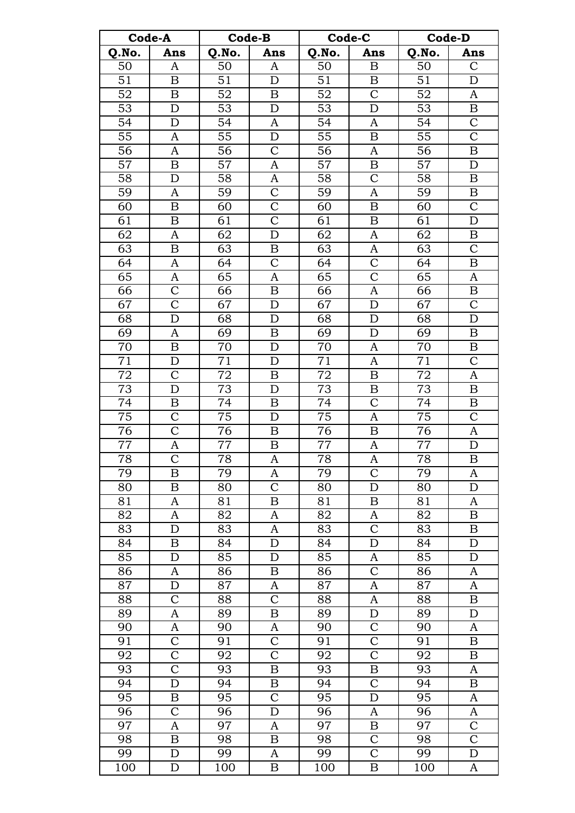| Code-A          |                                      | <b>Code-B</b>   |                         | Code-C          |                           | <b>Code-D</b>   |                                    |  |
|-----------------|--------------------------------------|-----------------|-------------------------|-----------------|---------------------------|-----------------|------------------------------------|--|
| Q.No.           | Ans                                  | Q.No.           | Ans                     | Q.No.           | Ans                       | Q.No.           | Ans                                |  |
| 50              | $\mathbf{A}$                         | 50              | A                       | 50              | $\boldsymbol{\mathrm{B}}$ | 50              | $\mathcal{C}$                      |  |
| 51              | $\boldsymbol{B}$                     | 51              | D                       | 51              | B                         | 51              | D                                  |  |
| 52              | B                                    | 52              | B                       | 52              | $\mathcal{C}$             | 52              | A                                  |  |
| 53              | D                                    | 53              | D                       | 53              | D                         | 53              | $\, {\bf B}$                       |  |
| 54              | D                                    | 54              | A                       | 54              | A                         | 54              | $\mathbf C$                        |  |
| $\overline{55}$ | $\mathbf{A}$                         | $\overline{55}$ | D                       | $\overline{55}$ | $\overline{B}$            | $\overline{55}$ | $\overline{C}$                     |  |
| 56              | $\mathbf{A}$                         | 56              | $\overline{\mathrm{C}}$ | 56              | A                         | 56              | $\, {\bf B}$                       |  |
| 57              | $\, {\bf B}$                         | 57              | A                       | 57              | $\boldsymbol{B}$          | 57              | $\mathbf D$                        |  |
| 58              | $\mathbf D$                          | 58              | A                       | 58              | $\mathcal{C}$             | 58              | $\boldsymbol{B}$                   |  |
| 59              | A                                    | 59              | $\mathcal{C}$           | 59              | $\mathbf{A}$              | 59              | B                                  |  |
| 60              | $\bf{B}$                             | 60              | $\overline{\text{C}}$   | 60              | $\overline{B}$            | 60              | $\overline{C}$                     |  |
| 61              | $\boldsymbol{B}$                     | 61              | $\overline{\text{C}}$   | 61              | B                         | 61              | $\mathbf D$                        |  |
| 62              | $\mathbf{A}$                         | 62              | $\mathbf D$             | 62              | A                         | 62              | $\boldsymbol{B}$                   |  |
| $\overline{63}$ | $\boldsymbol{B}$                     | 63              | B                       | $\overline{63}$ | $\boldsymbol{A}$          | 63              | $\overline{\mathrm{C}}$            |  |
| 64              | A                                    | 64              | $\mathcal{C}$           | 64              | $\mathcal{C}$             | 64              | $\boldsymbol{B}$                   |  |
|                 |                                      | $\overline{65}$ |                         |                 | $\overline{C}$            | 65              |                                    |  |
| 65              | A                                    |                 | A                       | 65              |                           |                 | A                                  |  |
| 66              | $\mathsf C$<br>$\overline{\text{C}}$ | 66              | $\boldsymbol{B}$        | 66              | A                         | 66              | $\boldsymbol{B}$<br>$\overline{C}$ |  |
| 67              |                                      | 67              | $\mathbf D$             | 67              | D                         | 67              |                                    |  |
| 68              | D                                    | 68              | $\mathbf D$             | 68              | D                         | 68              | $\mathbf D$                        |  |
| 69              | $\mathbf{A}$                         | 69              | $\boldsymbol{B}$        | 69              | $\mathbf D$               | 69              | $\, {\bf B}$                       |  |
| 70              | $\boldsymbol{B}$                     | 70              | D                       | 70              | A                         | 70              | $\boldsymbol{B}$                   |  |
| 71              | D                                    | 71              | D                       | 71              | A                         | 71              | $\mathbf C$                        |  |
| $\bf 72$        | $\mathcal{C}$                        | $72\,$          | B                       | 72              | B                         | $72\,$          | $\boldsymbol{A}$                   |  |
| 73              | D                                    | 73              | $\mathbf D$             | 73              | B                         | 73              | $\boldsymbol{B}$                   |  |
| $\overline{74}$ | $\, {\bf B}$                         | $\overline{74}$ | $\boldsymbol{B}$        | $\overline{74}$ | $\overline{\text{C}}$     | $\overline{74}$ | $\overline{B}$                     |  |
| $\overline{75}$ | $\overline{\text{C}}$                | $\overline{75}$ | $\mathbf D$             | $\overline{75}$ | A                         | 75              | $\overline{C}$                     |  |
| 76              | $\overline{C}$                       | 76              | $\boldsymbol{B}$        | 76              | B                         | 76              | $\boldsymbol{A}$                   |  |
| 77              | A                                    | $77 \,$         | B                       | 77              | A                         | 77              | $\mathbf D$                        |  |
| 78              | $\mathcal{C}$                        | 78              | A                       | 78              | A                         | 78              | B                                  |  |
| 79              | B                                    | 79              | A                       | 79              | $\overline{C}$            | 79              | A                                  |  |
| 80              | B                                    | 80              | $\mathcal{C}$           | 80              | $\mathbf D$               | 80              | $\mathbf D$                        |  |
| 81              | A                                    | 81              | B                       | 81              | B                         | 81              | A                                  |  |
| 82              | A                                    | $\overline{82}$ | A                       | 82              | $\boldsymbol{A}$          | $\overline{82}$ | $\overline{B}$                     |  |
| 83              | D                                    | 83              | A                       | 83              | $\mathcal{C}$             | 83              | $\boldsymbol{B}$                   |  |
| 84              | B                                    | 84              | D                       | 84              | D                         | 84              | $\mathbf D$                        |  |
| 85              | D                                    | 85              | D                       | 85              | A                         | 85              | $\mathbf D$                        |  |
| 86              | A                                    | 86              | B                       | 86              | $\overline{C}$            | 86              | $\boldsymbol{A}$                   |  |
| 87              | D                                    | 87              | A                       | 87              | $\boldsymbol{A}$          | 87              | $\boldsymbol{A}$                   |  |
| 88              | $\mathsf{C}$                         | 88              | $\mathcal{C}$           | 88              | $\boldsymbol{A}$          | 88              | $\boldsymbol{B}$                   |  |
| 89              | A                                    | 89              | B                       | 89              | ${\mathcal{D}}$           | 89              | D                                  |  |
| 90              | A                                    | 90              | A                       | 90              | $\mathbf C$               | 90              | A                                  |  |
| 91              | $\mathsf{C}$                         | 91              | $\overline{\mathrm{C}}$ | 91              | $\overline{C}$            | 91              | $\boldsymbol{B}$                   |  |
| 92              | $\mathcal{C}$                        | 92              | $\mathsf C$             | 92              | $\overline{C}$            | 92              | $\boldsymbol{B}$                   |  |
| 93              | $\mathsf{C}$                         | 93              | B                       | 93              | $\boldsymbol{B}$          | 93              | $\boldsymbol{A}$                   |  |
| 94              | D                                    | 94              | B                       | $\overline{94}$ | $\overline{C}$            | 94              | B                                  |  |
| 95              | B                                    | 95              | $\mathcal{C}$           | 95              | $\mathbf D$               | 95              | A                                  |  |
| $\overline{96}$ | $\mathcal{C}$                        | 96              | $\mathbf D$             | 96              | $\boldsymbol{A}$          | 96              | A                                  |  |
| 97              | A                                    | 97              | A                       | 97              | B                         | 97              | $\mathbf C$                        |  |
| 98              | $\boldsymbol{B}$                     | 98              | B                       | 98              | $\overline{C}$            | $\overline{9}8$ | $\overline{\mathrm{C}}$            |  |
| 99              | D                                    | 99              | A                       | 99              | $\mathbf C$               | 99              | $\mathbf D$                        |  |
| 100             | D                                    | 100             | B                       | 100             | B                         | 100             | $\boldsymbol{A}$                   |  |